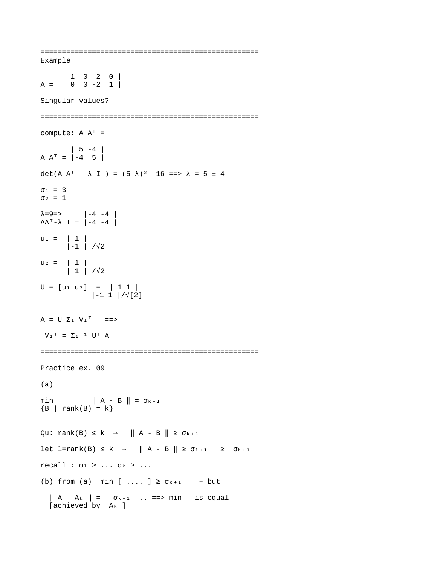=================================================== Example | 1 0 2 0 | A = | 0 0 -2 1 | Singular values? =================================================== compute: A  $A^T$  = | 5 -4 |  $A A^{T} = \begin{vmatrix} -4 & 5 \end{vmatrix}$ det(A A<sup>T</sup> -  $\lambda$  I ) = (5- $\lambda$ )<sup>2</sup> -16 ==>  $\lambda$  = 5 ± 4  $σ<sub>1</sub> = 3$  $σ<sub>2</sub> = 1$ λ=9=> |-4 -4 |  $AA^T - \lambda I = \begin{vmatrix} -4 & -4 \end{vmatrix}$  $u_1 = | 1 |$  |-1 | /√2  $u_2 = | 1 |$  | 1 | /√2  $U = [u_1 \ u_2] = | 1 1 |$  $|-1 \ 1 \ |/\sqrt{2}]$  $A = U \Sigma_1 V_1^T = \Longrightarrow$  $V_1^T = \sum_1^{-1} U^T A$ =================================================== Practice ex. 09 (a) min  $\| A - B \| = \sigma_{k+1}$  ${B \mid rank(B) = k}$ Qu: rank(B)  $\leq$  k  $\rightarrow$   $\parallel$  A - B  $\parallel$   $\geq$   $\sigma$ <sub>k+1</sub> let l=rank(B)  $\leq k \rightarrow ||A - B|| \geq \sigma_{1+1} \geq \sigma_{k+1}$  $recall :  $\sigma_1 \geq ... \sigma_k \geq ...$$ (b) from (a) min  $[\ldots] \ge \sigma_{k+1}$  – but  $\parallel$  A - A<sub>k</sub>  $\parallel$  =  $\sigma$ <sub>k+1</sub> .. =  $\equiv$ > min is equal  $[achieved]$  by  $A_k$  ]